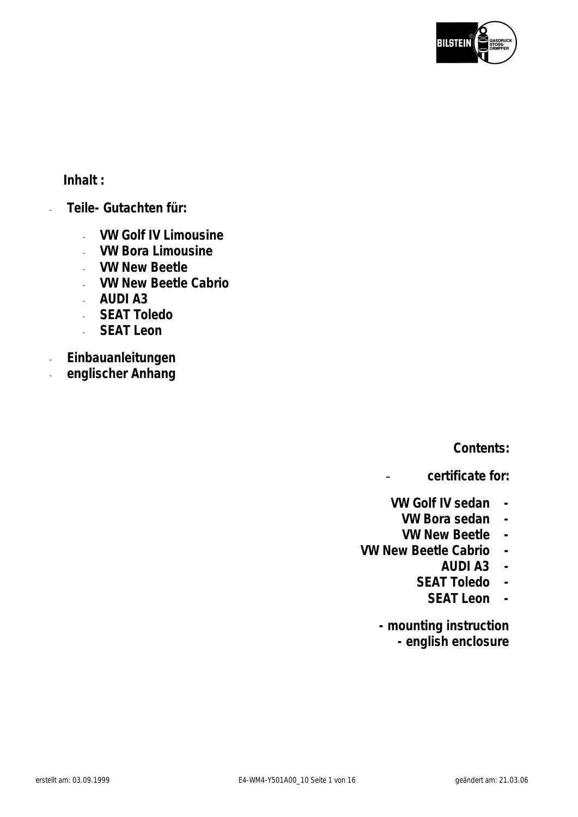

**Inhalt :** 

- **Teile- Gutachten für:** 
	- **VW Golf IV Limousine**
	- **VW Bora Limousine**
	- **VW New Beetle**
	- **VW New Beetle Cabrio**
	- **AUDI A3**
	- **SEAT Toledo**
	- **SEAT Leon**
- **Einbauanleitungen**
- **englischer Anhang**

**Contents:** 

- **certificate for:** 

- **VW Golf IV sedan** 
	- **VW Bora sedan**
	- **VW New Beetle**
- **VW New Beetle Cabrio** 
	- **AUDI A3**
	- **SEAT Toledo** 
		- **SEAT Leon**

**- mounting instruction - english enclosure**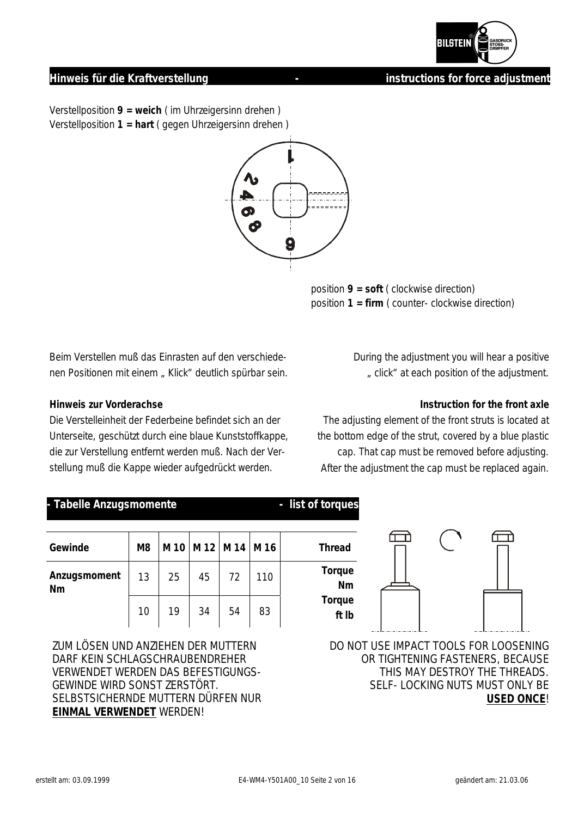

## **Hinweis für die Kraftverstellung and die verzugen die verzugen die einstructions for force adjustment**

Verstellposition **9 = weich** ( im Uhrzeigersinn drehen ) Verstellposition **1 = hart** ( gegen Uhrzeigersinn drehen )



 position **9 = soft** ( clockwise direction) position **1 = firm** ( counter- clockwise direction)

Beim Verstellen muß das Einrasten auf den verschiedenen Positionen mit einem "Klick" deutlich spürbar sein.

### **Hinweis zur Vorderachse**

Die Verstelleinheit der Federbeine befindet sich an der Unterseite, geschützt durch eine blaue Kunststoffkappe, die zur Verstellung entfernt werden muß. Nach der Verstellung muß die Kappe wieder aufgedrückt werden.

During the adjustment you will hear a positive " click" at each position of the adjustment.

### **Instruction for the front axle**

The adjusting element of the front struts is located at the bottom edge of the strut, covered by a blue plastic cap. That cap must be removed before adjusting. After the adjustment the cap must be replaced again.

### Tabelle Anzugsmomente **and a set of the UK and Tabelle Anzugsmomente** and a set of torques

| Gewinde            | M <sub>8</sub> |    |    | M 10   M 12   M 14   M 16 |     | <b>Thread</b>   |
|--------------------|----------------|----|----|---------------------------|-----|-----------------|
| Anzugsmoment<br>Nm | 13             | 25 | 45 | 72                        | 110 | Torque<br>Nn    |
|                    | 10             | 19 | 34 | 54                        | 83  | Torque<br>ft II |

ZUM LÖSEN UND ANZIEHEN DER MUTTERN DARF KEIN SCHLAGSCHRAUBENDREHER VERWENDET WERDEN DAS BEFESTIGUNGS-GEWINDE WIRD SONST ZERSTÖRT. SELBSTSICHERNDE MUTTERN DÜRFEN NUR **EINMAL VERWENDET** WERDEN!



DO NOT USE IMPACT TOOLS FOR LOOSENING OR TIGHTENING FASTENERS, BECAUSE THIS MAY DESTROY THE THREADS. SELF- LOCKING NUTS MUST ONLY BE **USED ONCE**!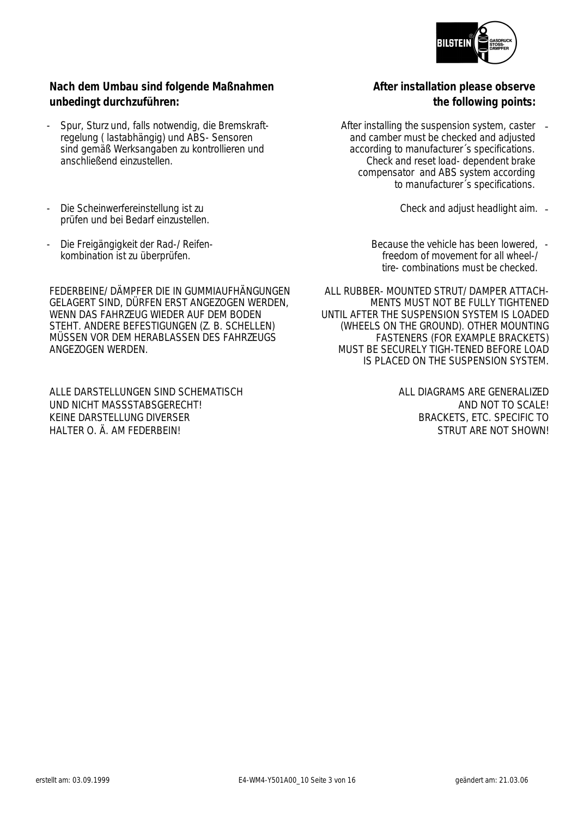

## **Nach dem Umbau sind folgende Maßnahmen unbedingt durchzuführen:**

- Spur, Sturz und, falls notwendig, die Bremskraftregelung ( lastabhängig) und ABS- Sensoren sind gemäß Werksangaben zu kontrollieren und anschließend einzustellen.
- Die Scheinwerfereinstellung ist zu prüfen und bei Bedarf einzustellen.
- Die Freigängigkeit der Rad-/ Reifenkombination ist zu überprüfen.

FEDERBEINE/ DÄMPFER DIE IN GUMMIAUFHÄNGUNGEN GELAGERT SIND, DÜRFEN ERST ANGEZOGEN WERDEN, WENN DAS FAHRZEUG WIEDER AUF DEM BODEN STEHT. ANDERE BEFESTIGUNGEN (Z. B. SCHELLEN) MÜSSEN VOR DEM HERABLASSEN DES FAHRZEUGS ANGEZOGEN WERDEN.

ALLE DARSTELLUNGEN SIND SCHEMATISCH UND NICHT MASSSTABSGERECHT! KEINE DARSTELLUNG DIVERSER HALTER O. Ä. AM FEDERBEIN!

**After installation please observe the following points:**

- After installing the suspension system, caster and camber must be checked and adjusted according to manufacturer´s specifications. Check and reset load- dependent brake compensator and ABS system according to manufacturer´s specifications.
	- Check and adjust headlight aim. -
	- Because the vehicle has been lowered, freedom of movement for all wheel-/ tire- combinations must be checked.

ALL RUBBER- MOUNTED STRUT/ DAMPER ATTACH-MENTS MUST NOT BE FULLY TIGHTENED UNTIL AFTER THE SUSPENSION SYSTEM IS LOADED (WHEELS ON THE GROUND). OTHER MOUNTING FASTENERS (FOR EXAMPLE BRACKETS) MUST BE SECURELY TIGH-TENED BEFORE LOAD IS PLACED ON THE SUSPENSION SYSTEM.

> ALL DIAGRAMS ARE GENERALIZED AND NOT TO SCALE! BRACKETS, ETC. SPECIFIC TO STRUT ARE NOT SHOWN!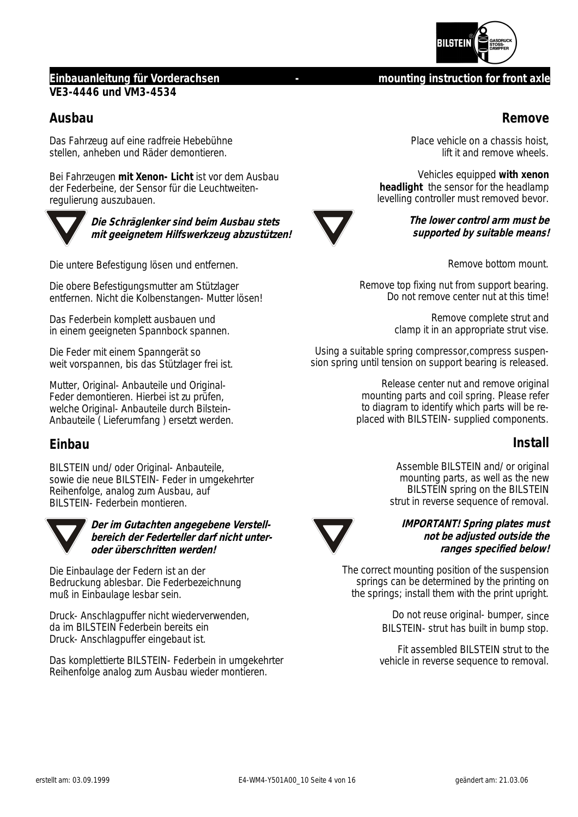

## **Einbauanleitung für Vorderachsen - mounting instruction for front axle VE3-4446 und VM3-4534**

## **Ausbau**

Das Fahrzeug auf eine radfreie Hebebühne stellen, anheben und Räder demontieren.

Bei Fahrzeugen **mit Xenon- Licht** ist vor dem Ausbau der Federbeine, der Sensor für die Leuchtweitenregulierung auszubauen.



**Die Schräglenker sind beim Ausbau stets mit geeignetem Hilfswerkzeug abzustützen!** 

Die untere Befestigung lösen und entfernen.

Die obere Befestigungsmutter am Stützlager entfernen. Nicht die Kolbenstangen- Mutter lösen!

Das Federbein komplett ausbauen und in einem geeigneten Spannbock spannen.

Die Feder mit einem Spanngerät so weit vorspannen, bis das Stützlager frei ist.

Mutter, Original- Anbauteile und Original-Feder demontieren. Hierbei ist zu prüfen, welche Original- Anbauteile durch Bilstein-Anbauteile ( Lieferumfang ) ersetzt werden.

## **Einbau**

BILSTEIN und/ oder Original- Anbauteile, sowie die neue BILSTEIN- Feder in umgekehrter Reihenfolge, analog zum Ausbau, auf BILSTEIN- Federbein montieren.



**Der im Gutachten angegebene Verstellbereich der Federteller darf nicht unteroder überschritten werden!** 

Die Einbaulage der Federn ist an der Bedruckung ablesbar. Die Federbezeichnung muß in Einbaulage lesbar sein.

Druck- Anschlagpuffer nicht wiederverwenden, da im BILSTEIN Federbein bereits ein Druck- Anschlagpuffer eingebaut ist.

Das komplettierte BILSTEIN- Federbein in umgekehrter Reihenfolge analog zum Ausbau wieder montieren.

Place vehicle on a chassis hoist, lift it and remove wheels.

**Remove**

Vehicles equipped **with xenon headlight** the sensor for the headlamp levelling controller must removed bevor.



**The lower control arm must be supported by suitable means!**

Remove bottom mount.

Remove top fixing nut from support bearing. Do not remove center nut at this time!

> Remove complete strut and clamp it in an appropriate strut vise.

Using a suitable spring compressor,compress suspension spring until tension on support bearing is released.

> Release center nut and remove original mounting parts and coil spring. Please refer to diagram to identify which parts will be replaced with BILSTEIN- supplied components.

## **Install**

Assemble BILSTEIN and/ or original mounting parts, as well as the new BILSTEIN spring on the BILSTEIN strut in reverse sequence of removal.



**IMPORTANT! Spring plates must not be adjusted outside the ranges specified below!** 

The correct mounting position of the suspension springs can be determined by the printing on the springs; install them with the print upright.

> Do not reuse original- bumper, since BILSTEIN- strut has built in bump stop.

Fit assembled BILSTEIN strut to the vehicle in reverse sequence to removal.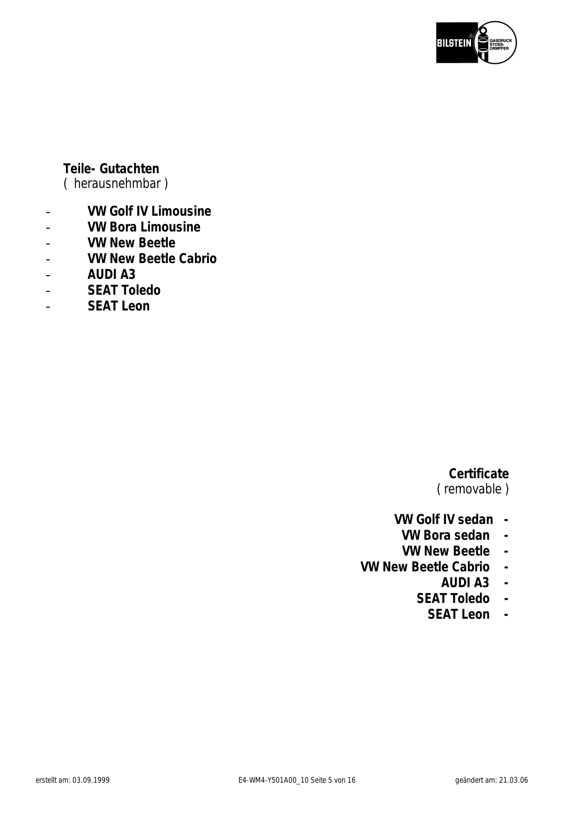

## **Teile- Gutachten**

( herausnehmbar )

- **VW Golf IV Limousine**
- **VW Bora Limousine**
- **VW New Beetle**
- **VW New Beetle Cabrio**
- **AUDI A3**
- **SEAT Toledo**
- **SEAT Leon**

# **Certificate**

( removable )

- **VW Golf IV sedan** 
	- **VW Bora sedan**
	- **VW New Beetle**
- **VW New Beetle Cabrio** 
	- **AUDI A3**
	- **SEAT Toledo** 
		- **SEAT Leon**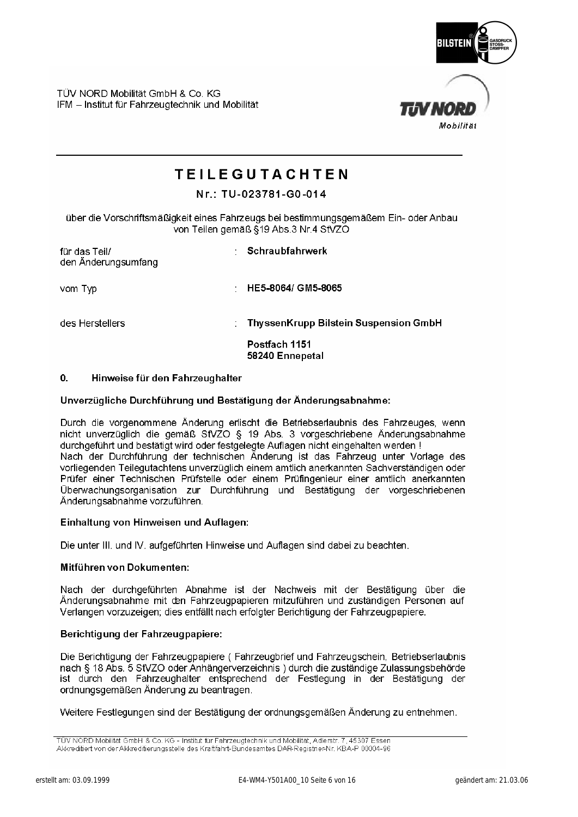

TIN NO

TÜV NORD Mobilität GmbH & Co, KG IFM - Institut für Fahrzeugtechnik und Mobilität

# **TEILEGUTACHTEN**

### Nr.: TU-023781-G0-014

über die Vorschriftsmäßigkeit eines Fahrzeugs bei bestimmungsgemäßem Ein- oder Anbau von Teilen gemäß §19 Abs.3 Nr.4 StVZO

| für das Teil/<br>den Änderungsumfang | Schraubfahrwerk                                                           |
|--------------------------------------|---------------------------------------------------------------------------|
| vom Typ<br>٠                         | HE5-8064/ GM5-8065                                                        |
| des Herstellers                      | ThyssenKrupp Bilstein Suspension GmbH<br>Postfach 1151<br>58240 Ennepetal |
|                                      |                                                                           |

#### $\mathbf{0}$ Hinweise für den Fahrzeughalter

### Unverzügliche Durchführung und Bestätigung der Änderungsabnahme:

Durch die vorgenommene Änderung erlischt die Betriebserlaubnis des Fahrzeuges, wenn nicht unverzüglich die gemäß StVZO § 19 Abs. 3 vorgeschriebene Änderungsabnahme durchgeführt und bestätigt wird oder festgelegte Auflagen nicht eingehalten werden ! Nach der Durchführung der technischen Änderung ist das Fahrzeug unter Vorlage des vorliegenden Teilegutachtens unverzüglich einem amtlich anerkannten Sachverständigen oder Prüfer einer Technischen Prüfstelle oder einem Prüfingenieur einer amtlich anerkannten Überwachungsorganisation zur Durchführung und Bestätigung der vorgeschriebenen Änderungsabnahme vorzuführen.

### Einhaltung von Hinweisen und Auflagen:

Die unter III. und IV. aufgeführten Hinweise und Auflagen sind dabei zu beachten.

### Mitführen von Dokumenten:

Nach der durchgeführten Abnahme ist der Nachweis mit der Bestätigung über die Änderungsabnahme mit den Fahrzeugpapieren mitzuführen und zuständigen Personen auf Verlangen vorzuzeigen; dies entfällt nach erfolgter Berichtigung der Fahrzeugpapiere.

### Berichtigung der Fahrzeugpapiere:

Die Berichtigung der Fahrzeugpapiere (Fahrzeugbrief und Fahrzeugschein, Betriebserlaubnis nach § 18 Abs. 5 StVZO oder Anhängerverzeichnis) durch die zuständige Zulassungsbehörde ist durch den Fahrzeughalter entsprechend der Festlegung in der Bestätigung der ordnungsgemäßen Änderung zu beantragen.

Weitere Festlegungen sind der Bestätigung der ordnungsgemäßen Änderung zu entnehmen.

TÜV NORD Mobilität GmbH & Co. KG - Institut für Fahrzeugtechnik und Mobilität, Adlerstr. 7, 45307 Essen Akkreditiert von der Akkreditierungsstelle des Kraftfahrt-Bundesamtes DAR-Registrier-Nr. KBA-P 00004-96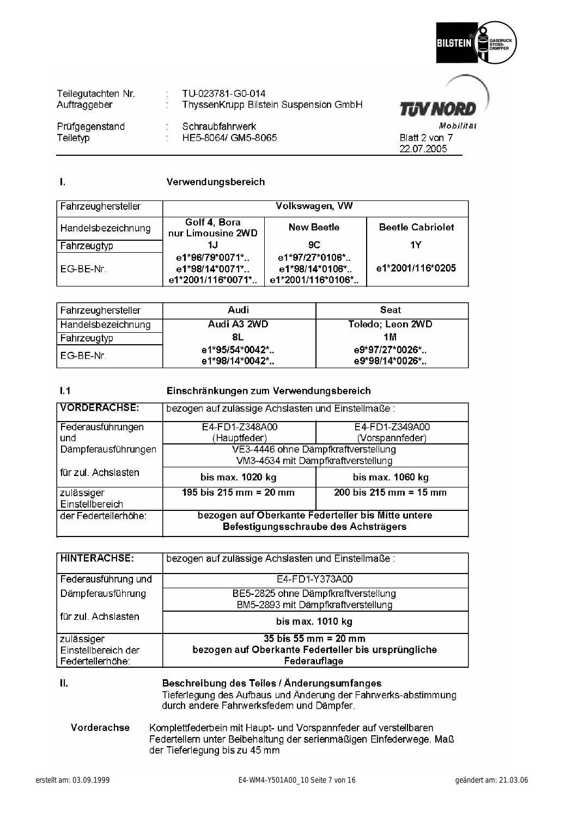

**TIV NORD** 

Blatt 2 von 7 22.07.2005

Mobilität

| Teilegutachten Nr.<br>Auftraggeber | TU-023781-G0-014<br>: ThyssenKrupp Bilstein Suspension GmbH |
|------------------------------------|-------------------------------------------------------------|
| Prüfgegenstand<br>Teiletyp         | Schraubfahrwerk<br>: HE5-8064/ GM5-8065                     |

Ī.

### Verwendungsbereich

| Fahrzeughersteller |                                                       | Volkswagen, VW                                        |                         |
|--------------------|-------------------------------------------------------|-------------------------------------------------------|-------------------------|
| Handelsbezeichnung | Golf 4, Bora<br>nur Limousine 2WD                     | <b>New Beetle</b>                                     | <b>Beetle Cabriolet</b> |
| Fahrzeugtyp        | 1.J                                                   | 9C                                                    | 1Υ                      |
| EG-BE-Nr.          | e1*96/79*0071*<br>e1*98/14*0071*<br>e1*2001/116*0071* | e1*97/27*0106*<br>e1*98/14*0106*<br>e1*2001/116*0106* | e1*2001/116*0205        |

| Fahrzeughersteller | Audi                             | Seat                             |
|--------------------|----------------------------------|----------------------------------|
| Handelsbezeichnung | Audi A3 2WD                      | Toledo; Leon 2WD                 |
| Fahrzeugtyp        | 8L                               | 1 M                              |
| l EG-BE-Nr.        | e1*95/54*0042*<br>e1*98/14*0042* | e9*97/27*0026*<br>e9*98/14*0026* |

#### $1.1$ Einschränkungen zum Verwendungsbereich

| <b>VORDERACHSE:</b> | bezogen auf zulässige Achslasten und Einstellmaße: |                                                   |  |  |
|---------------------|----------------------------------------------------|---------------------------------------------------|--|--|
| Federausführungen   | E4-FD1-Z348A00                                     | E4-FD1-Z349A00                                    |  |  |
| und                 | (Hauptfeder)                                       | (Vorspannfeder)                                   |  |  |
| Dämpferausführungen | VE3-4446 ohne Dämpfkraftverstellung                |                                                   |  |  |
|                     | VM3-4534 mit Dämpfkraftverstellung                 |                                                   |  |  |
| für zul. Achslasten |                                                    |                                                   |  |  |
|                     | bis max. 1020 kg                                   | bis max. 1060 kg                                  |  |  |
| zulässiger          | 195 bis $215 \text{ mm} = 20 \text{ mm}$           | $200 \text{ bis } 215 \text{ mm} = 15 \text{ mm}$ |  |  |
| Einstellbereich     | bezogen auf Oberkante Federteller bis Mitte untere |                                                   |  |  |

| <b>HINTERACHSE:</b> | bezogen auf zulässige Achslasten und Einstellmaße:                        |
|---------------------|---------------------------------------------------------------------------|
| Federausführung und | E4-FD1-Y373A00                                                            |
| Dämpferausführung   | BE5-2825 ohne Dämpfkraftverstellung<br>BM5-2893 mit Dämpfkraftverstellung |
| für zul. Achslasten | bis max. 1010 kg                                                          |
| zulässiger          | 35 bis 55 mm = $20$ mm                                                    |
| Einstellbereich der | bezogen auf Oberkante Federteller bis ursprüngliche                       |
| Federtellerhöhe:    | Federauflage                                                              |

П.

Beschreibung des Teiles / Änderungsumfanges Tieferlegung des Aufbaus und Änderung der Fahrwerks-abstimmung durch andere Fahrwerksfedern und Dämpfer.

### Vorderachse Komplettfederbein mit Haupt- und Vorspannfeder auf verstellbaren Federtellern unter Beibehaltung der serienmäßigen Einfederwege. Maß der Tieferlegung bis zu 45 mm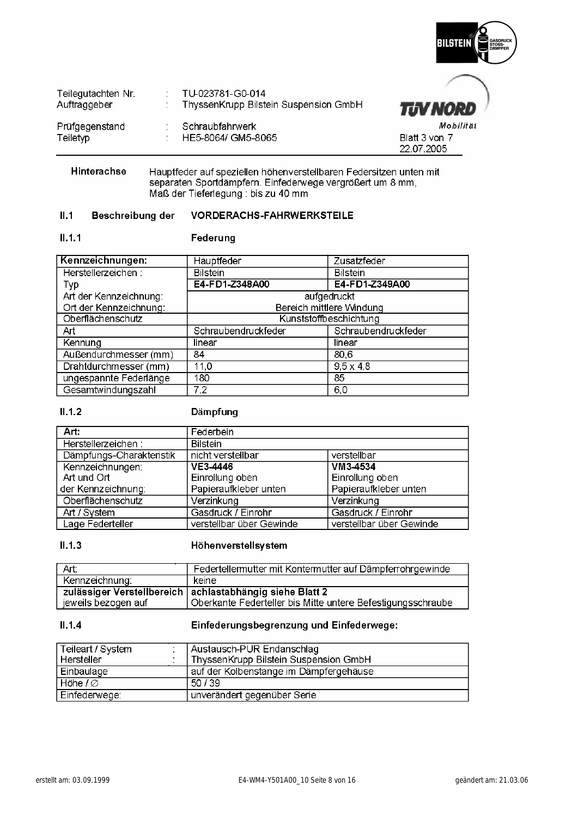

| Teilegutachten Nr.<br>Auftraggeber | TU-023781-G0-014<br>ThyssenKrupp Bilstein Suspension GmbH | <b>TJV NORD</b>             |
|------------------------------------|-----------------------------------------------------------|-----------------------------|
| Prüfgegenstand                     | Schraubfahrwerk                                           | Mobilitä                    |
| Teiletyp                           | HE5-8064/ GM5-8065                                        | Blatt 3 von 7<br>22.07.2005 |

Hinterachse Hauptfeder auf speziellen höhenverstellbaren Federsitzen unten mit separaten Sportdämpfern. Einfederwege vergrößert um 8 mm,<br>Maß der Tieferlegung : bis zu 40 mm

#### $II.1$ Beschreibung der **VORDERACHS-FAHRWERKSTEILE**

### $II.1.1$

### Federung

| Kennzeichnungen:       | Hauptfeder               | Zusatzfeder            |
|------------------------|--------------------------|------------------------|
| Herstellerzeichen:     | <b>Bilstein</b>          | <b>Bilstein</b>        |
| Тур                    | E4-FD1-Z348A00           | E4-FD1-Z349A00         |
| Art der Kennzeichnung: |                          | aufgedruckt            |
| Ort der Kennzeichnung: | Bereich mittlere Windung |                        |
| Oberflächenschutz      |                          | Kunststoffbeschichtung |
| Art                    | Schraubendruckfeder      | Schraubendruckfeder    |
| Kennung                | linear                   | linear                 |
| Außendurchmesser (mm)  | 84                       | 80,6                   |
| Drahtdurchmesser (mm)  | 11,0                     | $9.5 \times 4.8$       |
| ungespannte Federlänge | 180                      | 85                     |
| Gesamtwindungszahl     | 7,2                      | 6,0                    |

### $II.1.2$

### Dämpfung

| Art:                     | Federbein                |                          |
|--------------------------|--------------------------|--------------------------|
| Herstellerzeichen:       | <b>Bilstein</b>          |                          |
| Dämpfungs-Charakteristik | nicht verstellbar        | verstellbar              |
| Kennzeichnungen:         | VE3-4446                 | VM3-4534                 |
| Art und Ort              | Einrollung oben          | Einrollung oben          |
| der Kennzeichnung:       | Papieraufkleber unten    | Papieraufkleber unten    |
| Oberflächenschutz        | Verzinkung               | Verzinkung               |
| Art / System             | Gasdruck / Einrohr       | Gasdruck / Einrohr       |
| Lage Federteller         | verstellbar über Gewinde | verstellbar über Gewinde |

#### $II.1.3$ Höhenverstellsystem

| - Art:              | Federtellermutter mit Kontermutter auf Dämpferrohrgewinde   |
|---------------------|-------------------------------------------------------------|
| Kennzeichnung:      | keine                                                       |
|                     | zulässiger Verstellbereich   achlastabhängig siehe Blatt 2  |
| jeweils bezogen auf | Oberkante Federteller bis Mitte untere Befestigungsschraube |

### $II.1.4$

### Einfederungsbegrenzung und Einfederwege:

| Teileart / System<br>Hersteller | Austausch-PUR Endanschlag<br>ThyssenKrupp Bilstein Suspension GmbH |
|---------------------------------|--------------------------------------------------------------------|
| Einbaulage                      | auf der Kolbenstange im Dämpfergehäuse                             |
| Höhe $1\varnothing$             | 50/39                                                              |
| Einfederwege:                   | unverändert gegenüber Serie                                        |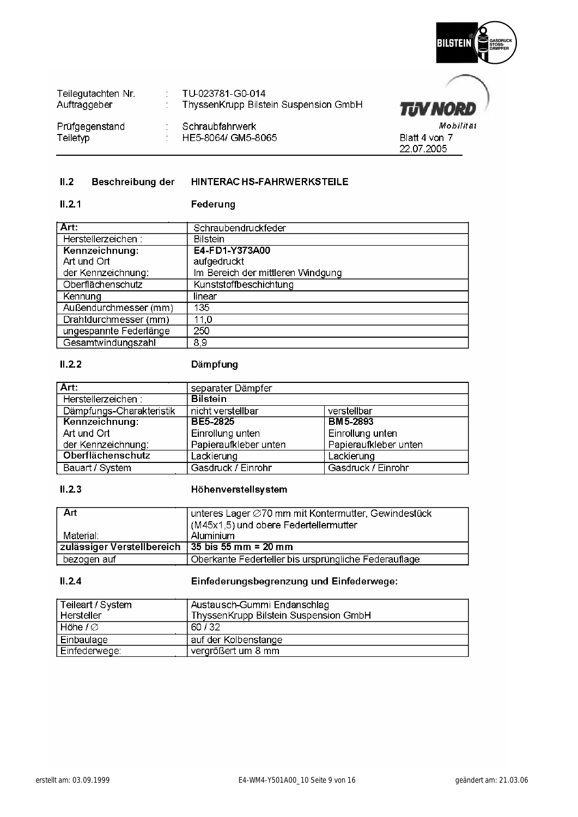

**TUV NORD** 

Blatt 4 von 7 22.07.2005

Mobilität

| Teilegutachten Nr.<br>Auftraggeber | TU-023781-G0-014<br>ThyssenKrupp Bilstein Suspension GmbH |
|------------------------------------|-----------------------------------------------------------|
| Prüfgegenstand<br>Teiletyp         | Schraubfahrwerk<br>HE5-8064/ GM5-8065                     |

#### $II.2$ Beschreibung der HINTERAC HS-FAHRWERKSTEILE

### $II.2.1$ Federung

| Art:                   | Schraubendruckfeder               |
|------------------------|-----------------------------------|
| Herstellerzeichen:     | <b>Bilstein</b>                   |
| Kennzeichnung:         | E4-FD1-Y373A00                    |
| Art und Ort            | aufgedruckt                       |
| der Kennzeichnung:     | Im Bereich der mittleren Windgung |
| Oberflächenschutz      | Kunststoffbeschichtung            |
| Kennung                | linear                            |
| Außendurchmesser (mm)  | 135                               |
| Drahtdurchmesser (mm)  | 11,0                              |
| ungespannte Federlänge | 250                               |
| Gesamtwindungszahl     | 8.9                               |

### $II.2.2$

### Dämpfung

| Art:                     | separater Dämpfer     |                       |  |  |
|--------------------------|-----------------------|-----------------------|--|--|
| Herstellerzeichen:       | <b>Bilstein</b>       |                       |  |  |
| Dämpfungs-Charakteristik | nicht verstellbar     | verstellbar           |  |  |
| Kennzeichnung:           | BE5-2825              | BM 5-2893             |  |  |
| Art und Ort              | Einrollung unten      | Einrollung unten      |  |  |
| der Kennzeichnung:       | Papieraufkleber unten | Papieraufkleber unten |  |  |
| <b>Oberflächenschutz</b> | Lackierung            | Lackierung            |  |  |
| Bauart / System          | Gasdruck / Einrohr    | Gasdruck / Einrohr    |  |  |

### $II.2.3$

### Höhenverstellsystem

| - Art                                             | unteres Lager ⊘70 mm mit Kontermutter, Gewindestück  |
|---------------------------------------------------|------------------------------------------------------|
|                                                   | (M45x1,5) und obere Federtellermutter                |
| Material:                                         | Aluminium                                            |
| zulässiger Verstellbereich   35 bis 55 mm = 20 mm |                                                      |
| bezogen auf                                       | Oberkante Federteller bis ursprüngliche Federauflage |

### $II.2.4$

### Einfederungsbegrenzung und Einfederwege:

| Teileart / System<br>l Hersteller | Austausch-Gummi Endanschlag<br>ThyssenKrupp Bilstein Suspension GmbH |
|-----------------------------------|----------------------------------------------------------------------|
| $H$ öhe $1\varnothing$            | 60/32                                                                |
| Einbaulage                        | auf der Kolbenstange                                                 |
| Einfederwege:                     | vergrößert um 8 mm                                                   |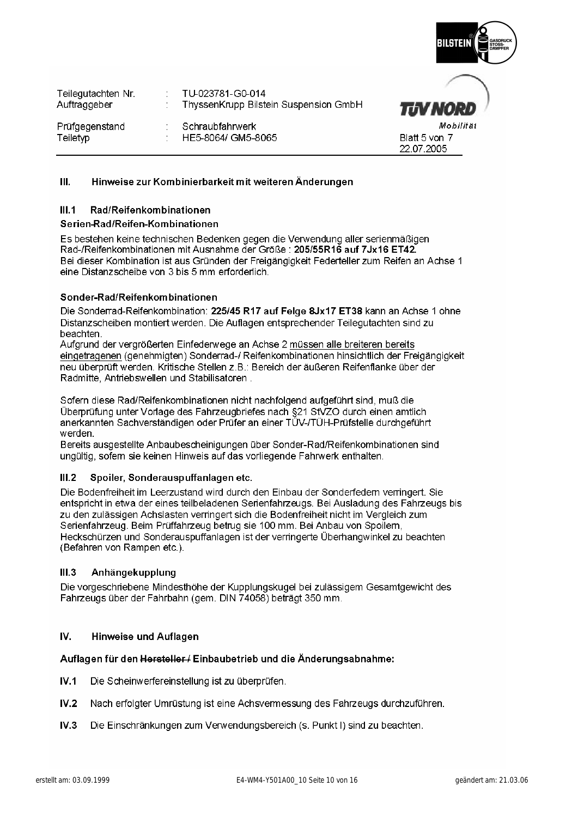

| Teilegutachten Nr. | TU-023781-G0-014                      |                             |
|--------------------|---------------------------------------|-----------------------------|
| Auftraggeber       | ThyssenKrupp Bilstein Suspension GmbH | <b>TUV NO</b>               |
| Prüfgegenstand     | Schraubfahrwerk                       | Mo.                         |
| Teiletyp           | HE5-8064/ GM5-8065                    | Blatt 5 von 7<br>22.07.2005 |

#### $III.$ Hinweise zur Kombinierbarkeit mit weiteren Änderungen

#### Rad/Reifenkombinationen  $III.1$

### Serien-Rad/Reifen-Kombinationen

Es bestehen keine technischen Bedenken gegen die Verwendung aller serienmäßigen Rad-/Reifenkombinationen mit Ausnahme der Größe : 205/55R16 auf 7Jx16 ET42. Bei dieser Kombination ist aus Gründen der Freigängigkeit Federteller zum Reifen an Achse 1 eine Distanzscheibe von 3 bis 5 mm erforderlich.

### Sonder-Rad/Reifenkombinationen

Die Sonderrad-Reifenkombination: 225/45 R17 auf Felge 8Jx17 ET38 kann an Achse 1 ohne Distanzscheiben montiert werden. Die Auflagen entsprechender Teilegutachten sind zu **heachten** 

Aufgrund der vergrößerten Einfederwege an Achse 2 müssen alle breiteren bereits eingetragenen (genehmigten) Sonderrad-/ Reifenkombinationen hinsichtlich der Freigängigkeit neu überprüft werden. Kritische Stellen z.B.: Bereich der äußeren Reifenflanke über der Radmitte, Antriebswellen und Stabilisatoren.

Sofern diese Rad/Reifenkombinationen nicht nachfolgend aufgeführt sind, muß die Überprüfung unter Vorlage des Fahrzeugbriefes nach §21 StVZO durch einen amtlich anerkannten Sachverständigen oder Prüfer an einer TÜV-/TÜH-Prüfstelle durchgeführt werden.

Bereits ausgestellte Anbaubescheinigungen über Sonder-Rad/Reifenkombinationen sind ungültig, sofem sie keinen Hinweis auf das vorliegende Fahrwerk enthalten.

#### Spoiler, Sonderauspuffanlagen etc.  $III.2$

Die Bodenfreiheit im Leerzustand wird durch den Einbau der Sonderfedem verringert. Sie entspricht in etwa der eines teilbeladenen Serienfahrzeugs. Bei Ausladung des Fahrzeugs bis zu den zulässigen Achslasten verringert sich die Bodenfreiheit nicht im Vergleich zum Serienfahrzeug. Beim Prüffahrzeug betrug sie 100 mm. Bei Anbau von Spoilem, Heckschürzen und Sonderauspuffanlagen ist der verringerte Überhangwinkel zu beachten (Befahren von Rampen etc.).

#### $III.3$ Anhängekupplung

Die vorgeschriebene Mindesthöhe der Kupplungskugel bei zulässigem Gesamtgewicht des Fahrzeugs über der Fahrbahn (gem. DIN 74058) beträgt 350 mm.

#### IV. **Hinweise und Auflagen**

### Auflagen für den Hersteller / Einbaubetrieb und die Änderungsabnahme:

- $IV.1$ Die Scheinwerfereinstellung ist zu überprüfen.
- $IV.2$ Nach erfolgter Umrüstung ist eine Achsvermessung des Fahrzeugs durchzuführen.
- Die Einschränkungen zum Verwendungsbereich (s. Punkt I) sind zu beachten.  $IV.3$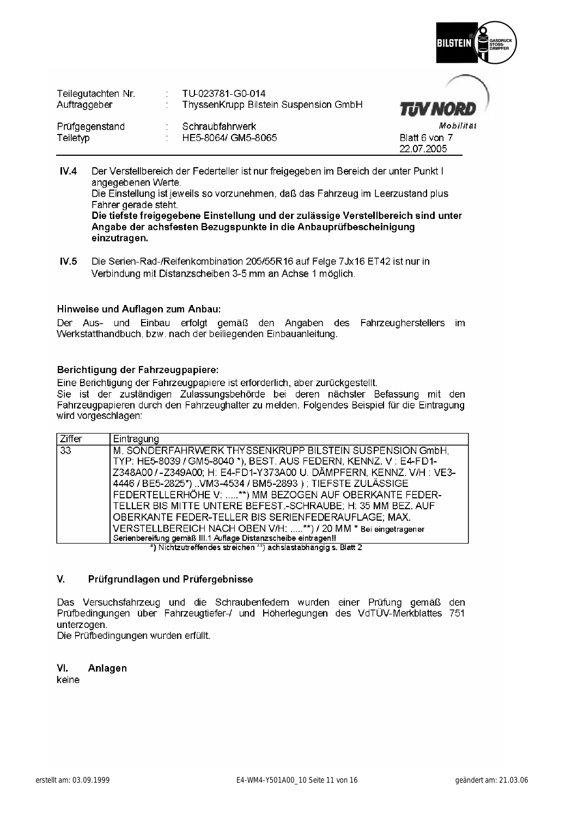

| Teilegutachten Nr.<br>Auftraggeber | TU-023781-G0-014<br>ThyssenKrupp Bilstein Suspension GmbH | <b>TJV NORD</b>             |
|------------------------------------|-----------------------------------------------------------|-----------------------------|
| Prüfgegenstand                     | Schraubfahrwerk                                           | Mobilität                   |
| Teiletyp                           | HE5-8064/ GM5-8065                                        | Blatt 6 von 7<br>22.07.2005 |

 $IV.4$ Der Verstellbereich der Federteller ist nur freigegeben im Bereich der unter Punkt I angegebenen Werte.

Die Einstellung ist jeweils so vorzunehmen, daß das Fahrzeug im Leerzustand plus Fahrer gerade steht.

Die tiefste freigegebene Einstellung und der zulässige Verstellbereich sind unter Angabe der achsfesten Bezugspunkte in die Anbauprüfbescheinigung einzutragen.

 $IV.5$ Die Serien-Rad-/Reifenkombination 205/55R16 auf Felge 7Jx16 ET42 ist nur in Verbindung mit Distanzscheiben 3-5 mm an Achse 1 möglich.

### Hinweise und Auflagen zum Anbau:

Der Aus- und Einbau erfolgt gemäß den Angaben des Fahrzeugherstellers im Werkstatthandbuch, bzw. nach der beiliegenden Einbauanleitung.

### Berichtiqung der Fahrzeugpapiere:

Eine Berichtigung der Fahrzeugpapiere ist erforderlich, aber zurückgestellt. Sie ist der zuständigen Zulassungsbehörde bei deren nächster Befassung mit den Fahrzeugpapieren durch den Fahrzeughalter zu melden. Folgendes Beispiel für die Eintragung wird vorgeschlagen:

| Ziffer          | Eintragung                                                           |  |  |  |  |  |
|-----------------|----------------------------------------------------------------------|--|--|--|--|--|
| $\overline{33}$ | M. SONDERFAHRWERK THYSSENKRUPP BILSTEIN SUSPENSION GmbH.             |  |  |  |  |  |
|                 | TYP: HE5-8039 / GM5-8040 *), BEST. AUS FEDERN, KENNZ. V : E4-FD1-    |  |  |  |  |  |
|                 | Z348A00 / - Z349A00; H: E4-FD1-Y373A00 U. DÄMPFERN, KENNZ. V/H: VE3- |  |  |  |  |  |
|                 | 4446 / BE5-2825*) VM3-4534 / BM5-2893 ) ; TIEFSTE ZULÄSSIGE          |  |  |  |  |  |
|                 | FEDERTELLERHÖHE V: **) MM BEZOGEN AUF OBERKANTE FEDER-               |  |  |  |  |  |
|                 | TELLER BIS MITTE UNTERE BEFEST.-SCHRAUBE; H: 35 MM BEZ. AUF          |  |  |  |  |  |
|                 | OBERKANTE FEDER-TELLER BIS SERIENFEDERAUFLAGE; MAX.                  |  |  |  |  |  |
|                 | VERSTELLBEREICH NACH OBEN V/H: **) / 20 MM * Bei eingetragener       |  |  |  |  |  |
|                 | Serienbereifung gemäß III.1 Auflage Distanzscheibe eintragen!!       |  |  |  |  |  |
|                 | *) Nichtzutroffendes streichen **) achsiastabhängig s. Riatt 2       |  |  |  |  |  |

) Nichtzutreffendes streichen \*\*) achslastabhängig s. Blatt 2

#### V. Prüfgrundlagen und Prüfergebnisse

Das Versuchsfahrzeug und die Schraubenfedem wurden einer Prüfung gemäß den Prüfbedingungen über Fahrzeugtiefer-/ und Höherlegungen des VdTÜV-Merkblattes 751 unterzogen.

Die Prüfbedingungen wurden erfüllt.

VI. Anlagen

keine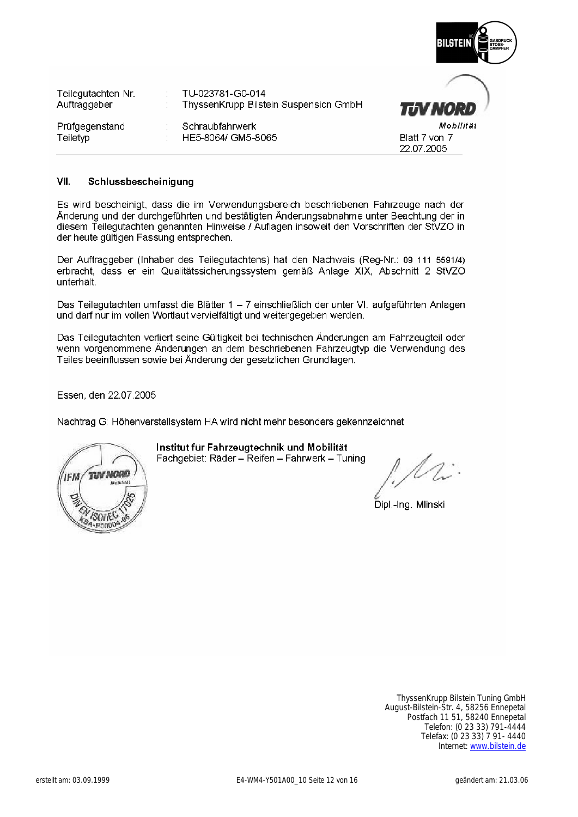| R<br>BILSTEIN | GASDRUCK<br>STOSS-<br>DAMPFER |
|---------------|-------------------------------|
|               |                               |

Blatt 7 von 7 22.07.2005

| Teilegutachten Nr.<br>Auftraggeber | TU-023781-G0-014<br>ThyssenKrupp Bilstein Suspension GmbH |
|------------------------------------|-----------------------------------------------------------|
| Prüfgegenstand<br>Teiletyp         | Schraubfahrwerk<br>HE5-8064/ GM5-8065                     |

#### VII. Schlussbescheinigung

Es wird bescheinigt, dass die im Verwendungsbereich beschriebenen Fahrzeuge nach der Änderung und der durchgeführten und bestätigten Änderungsabnahme unter Beachtung der in diesem Teilegutachten genannten Hinweise / Auflagen insoweit den Vorschriften der StVZO in der heute gültigen Fassung entsprechen.

Der Auftraggeber (Inhaber des Teilegutachtens) hat den Nachweis (Reg-Nr.: 09 111 5591/4) erbracht, dass er ein Qualitätssicherungssystem gemäß Anlage XIX, Abschnitt 2 StVZO unterhält.

Das Teilegutachten umfasst die Blätter 1 - 7 einschließlich der unter VI. aufgeführten Anlagen und darf nur im vollen Wortlaut vervielfältigt und weitergegeben werden.

Das Teilegutachten verliert seine Gültigkeit bei technischen Änderungen am Fahrzeugteil oder wenn vorgenommene Änderungen an dem beschriebenen Fahrzeugtyp die Verwendung des Teiles beeinflussen sowie bei Änderung der gesetzlichen Grundlagen.

Essen, den 22.07.2005

Nachtrag G: Höhenverstellsystem HA wird nicht mehr besonders gekennzeichnet



Institut für Fahrzeugtechnik und Mobilität

Fachgebiet: Räder - Reifen - Fahrwerk - Tuning

Dipl.-Ing. Mlinski

ThyssenKrupp Bilstein Tuning GmbH August-Bilstein-Str. 4, 58256 Ennepetal Postfach 11 51, 58240 Ennepetal Telefon: (0 23 33) 791-4444 Telefax: (0 23 33) 7 91- 4440 Internet: [www.bilstein.de](http://www.bilstein.de/)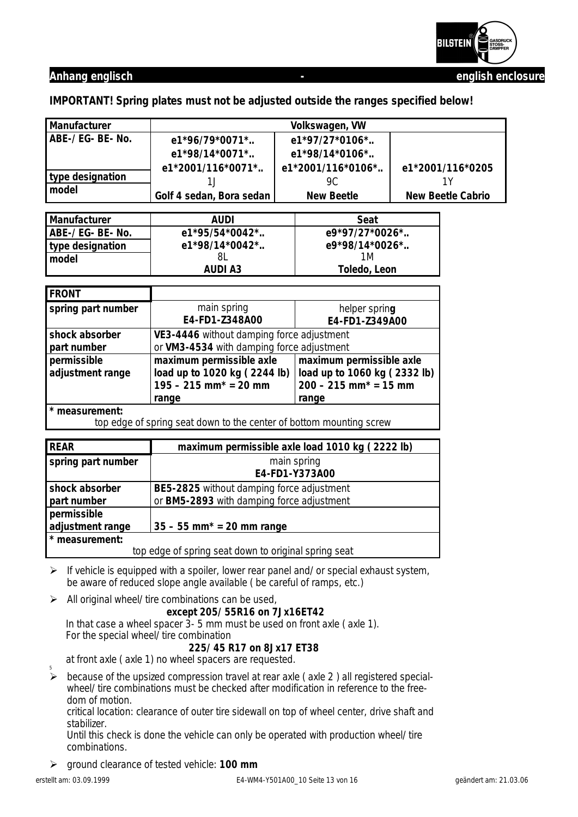

**IMPORTANT! Spring plates must not be adjusted outside the ranges specified below!** 

| Manufacturer                                                                                                                                                                      |                                                      | Volkswagen, VW                                           |  |                          |  |
|-----------------------------------------------------------------------------------------------------------------------------------------------------------------------------------|------------------------------------------------------|----------------------------------------------------------|--|--------------------------|--|
| ABE-/ EG- BE- No.                                                                                                                                                                 | e1*96/79*0071*                                       |                                                          |  |                          |  |
|                                                                                                                                                                                   | e1*98/14*0071*                                       | e1*98/14*0106*                                           |  |                          |  |
|                                                                                                                                                                                   | e1*2001/116*0071*                                    | e1*2001/116*0106*                                        |  | e1*2001/116*0205         |  |
| type designation                                                                                                                                                                  | 1J                                                   | 9C                                                       |  | 1Υ                       |  |
| model                                                                                                                                                                             | Golf 4 sedan, Bora sedan                             | <b>New Beetle</b>                                        |  | <b>New Beetle Cabrio</b> |  |
|                                                                                                                                                                                   |                                                      |                                                          |  |                          |  |
| Manufacturer                                                                                                                                                                      | <b>AUDI</b>                                          | Seat                                                     |  |                          |  |
| ABE-/ EG- BE- No.                                                                                                                                                                 | e1*95/54*0042*                                       | e9*97/27*0026*                                           |  |                          |  |
| type designation                                                                                                                                                                  | e1*98/14*0042*                                       | e9*98/14*0026*                                           |  |                          |  |
| model                                                                                                                                                                             | 8L                                                   | 1M                                                       |  |                          |  |
|                                                                                                                                                                                   | <b>AUDI A3</b>                                       | Toledo, Leon                                             |  |                          |  |
| <b>FRONT</b>                                                                                                                                                                      |                                                      |                                                          |  |                          |  |
| spring part number                                                                                                                                                                | main spring                                          | helper spring                                            |  |                          |  |
|                                                                                                                                                                                   | E4-FD1-Z348A00                                       | E4-FD1-Z349A00                                           |  |                          |  |
| shock absorber                                                                                                                                                                    | VE3-4446 without damping force adjustment            |                                                          |  |                          |  |
| part number                                                                                                                                                                       | or VM3-4534 with damping force adjustment            |                                                          |  |                          |  |
| permissible                                                                                                                                                                       | maximum permissible axle                             | maximum permissible axle<br>load up to 1060 kg (2332 lb) |  |                          |  |
| adjustment range                                                                                                                                                                  | load up to 1020 kg (2244 lb)                         |                                                          |  |                          |  |
|                                                                                                                                                                                   | $195 - 215$ mm <sup>*</sup> = 20 mm                  | $200 - 215$ mm <sup>*</sup> = 15 mm<br>range             |  |                          |  |
|                                                                                                                                                                                   | range                                                |                                                          |  |                          |  |
| * measurement:<br>top edge of spring seat down to the center of bottom mounting screw                                                                                             |                                                      |                                                          |  |                          |  |
|                                                                                                                                                                                   |                                                      |                                                          |  |                          |  |
| <b>REAR</b>                                                                                                                                                                       |                                                      | maximum permissible axle load 1010 kg (2222 lb)          |  |                          |  |
| spring part number                                                                                                                                                                |                                                      |                                                          |  |                          |  |
|                                                                                                                                                                                   | main spring<br>E4-FD1-Y373A00                        |                                                          |  |                          |  |
| shock absorber                                                                                                                                                                    |                                                      | BE5-2825 without damping force adjustment                |  |                          |  |
| part number                                                                                                                                                                       | or BM5-2893 with damping force adjustment            |                                                          |  |                          |  |
| permissible                                                                                                                                                                       |                                                      |                                                          |  |                          |  |
| adjustment range                                                                                                                                                                  | $35 - 55$ mm <sup>*</sup> = 20 mm range              |                                                          |  |                          |  |
| * measurement:                                                                                                                                                                    |                                                      |                                                          |  |                          |  |
|                                                                                                                                                                                   | top edge of spring seat down to original spring seat |                                                          |  |                          |  |
| $\triangleright$ If vehicle is equipped with a spoiler, lower rear panel and/ or special exhaust system,<br>be aware of reduced slope angle available (be careful of ramps, etc.) |                                                      |                                                          |  |                          |  |
| ➤                                                                                                                                                                                 | All original wheel/ tire combinations can be used,   |                                                          |  |                          |  |
|                                                                                                                                                                                   | except 205/ 55R16 on 7Jx16ET42                       |                                                          |  |                          |  |

 In that case a wheel spacer 3- 5 mm must be used on front axle ( axle 1). For the special wheel/ tire combination

### **225/ 45 R17 on 8Jx17 ET38**

at front axle ( axle 1) no wheel spacers are requested.

 $\triangleright$  because of the upsized compression travel at rear axle (axle 2) all registered specialwheel/ tire combinations must be checked after modification in reference to the freedom of motion.

 critical location: clearance of outer tire sidewall on top of wheel center, drive shaft and stabilizer.

 Until this check is done the vehicle can only be operated with production wheel/ tire combinations.

¾ ground clearance of tested vehicle: **100 mm**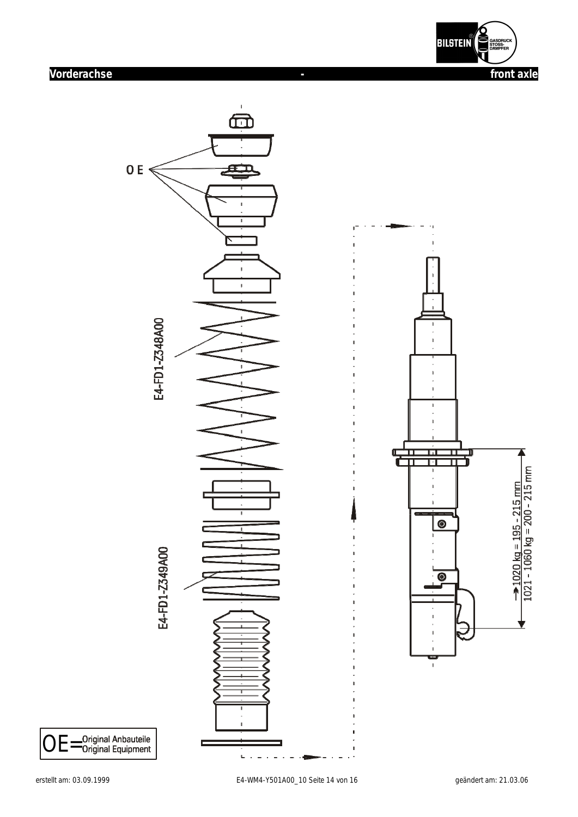

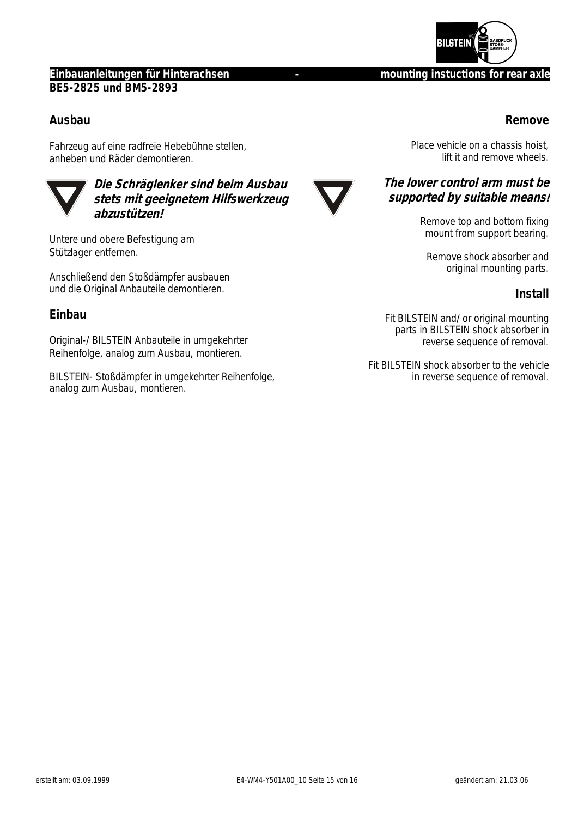

### **Einbauanleitungen für Hinterachsen and Frame and Frame instructions for rear axle BE5-2825 und BM5-2893**

## **Ausbau**

Fahrzeug auf eine radfreie Hebebühne stellen, anheben und Räder demontieren.



**Die Schräglenker sind beim Ausbau stets mit geeignetem Hilfswerkzeug abzustützen!** 

Untere und obere Befestigung am Stützlager entfernen.

Anschließend den Stoßdämpfer ausbauen und die Original Anbauteile demontieren.

## **Einbau**

Original-/ BILSTEIN Anbauteile in umgekehrter Reihenfolge, analog zum Ausbau, montieren.

BILSTEIN- Stoßdämpfer in umgekehrter Reihenfolge, analog zum Ausbau, montieren.



## **Remove**

Place vehicle on a chassis hoist, lift it and remove wheels.

## **The lower control arm must be supported by suitable means!**

Remove top and bottom fixing mount from support bearing.

Remove shock absorber and original mounting parts.

## **Install**

Fit BILSTEIN and/ or original mounting parts in BILSTEIN shock absorber in reverse sequence of removal.

Fit BILSTEIN shock absorber to the vehicle in reverse sequence of removal.